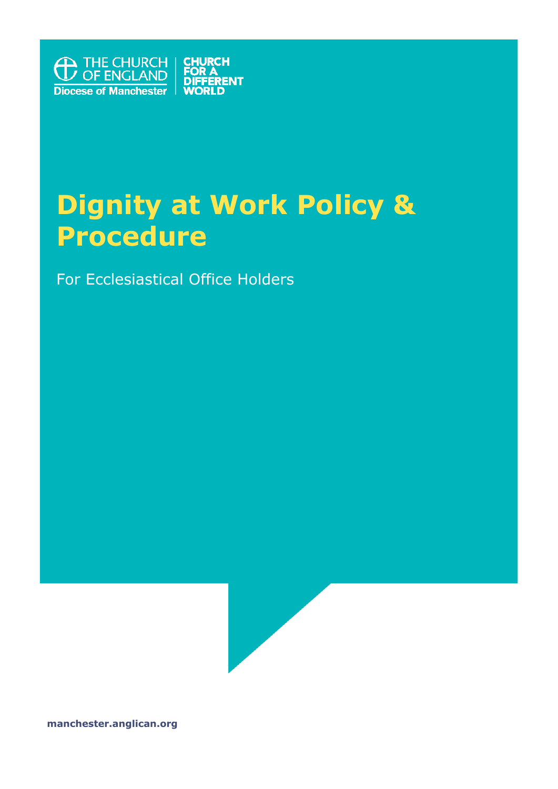

# **Dignity at Work Policy & Procedure**

For Ecclesiastical Office Holders



**manchester.anglican.org**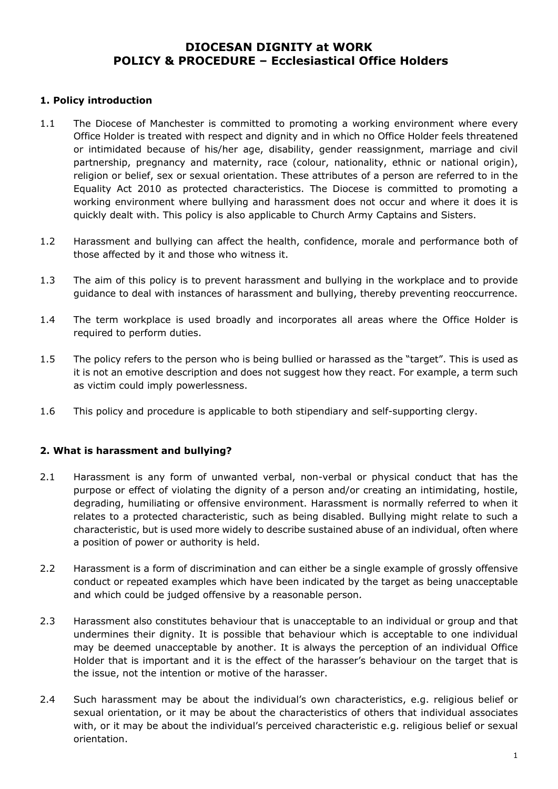## **DIOCESAN DIGNITY at WORK POLICY & PROCEDURE – Ecclesiastical Office Holders**

#### **1. Policy introduction**

- 1.1 The Diocese of Manchester is committed to promoting a working environment where every Office Holder is treated with respect and dignity and in which no Office Holder feels threatened or intimidated because of his/her age, disability, gender reassignment, marriage and civil partnership, pregnancy and maternity, race (colour, nationality, ethnic or national origin), religion or belief, sex or sexual orientation. These attributes of a person are referred to in the Equality Act 2010 as protected characteristics. The Diocese is committed to promoting a working environment where bullying and harassment does not occur and where it does it is quickly dealt with. This policy is also applicable to Church Army Captains and Sisters.
- 1.2 Harassment and bullying can affect the health, confidence, morale and performance both of those affected by it and those who witness it.
- 1.3 The aim of this policy is to prevent harassment and bullying in the workplace and to provide guidance to deal with instances of harassment and bullying, thereby preventing reoccurrence.
- 1.4 The term workplace is used broadly and incorporates all areas where the Office Holder is required to perform duties.
- 1.5 The policy refers to the person who is being bullied or harassed as the "target". This is used as it is not an emotive description and does not suggest how they react. For example, a term such as victim could imply powerlessness.
- 1.6 This policy and procedure is applicable to both stipendiary and self-supporting clergy.

#### **2. What is harassment and bullying?**

- 2.1 Harassment is any form of unwanted verbal, non-verbal or physical conduct that has the purpose or effect of violating the dignity of a person and/or creating an intimidating, hostile, degrading, humiliating or offensive environment. Harassment is normally referred to when it relates to a protected characteristic, such as being disabled. Bullying might relate to such a characteristic, but is used more widely to describe sustained abuse of an individual, often where a position of power or authority is held.
- 2.2 Harassment is a form of discrimination and can either be a single example of grossly offensive conduct or repeated examples which have been indicated by the target as being unacceptable and which could be judged offensive by a reasonable person.
- 2.3 Harassment also constitutes behaviour that is unacceptable to an individual or group and that undermines their dignity. It is possible that behaviour which is acceptable to one individual may be deemed unacceptable by another. It is always the perception of an individual Office Holder that is important and it is the effect of the harasser's behaviour on the target that is the issue, not the intention or motive of the harasser.
- 2.4 Such harassment may be about the individual's own characteristics, e.g. religious belief or sexual orientation, or it may be about the characteristics of others that individual associates with, or it may be about the individual's perceived characteristic e.g. religious belief or sexual orientation.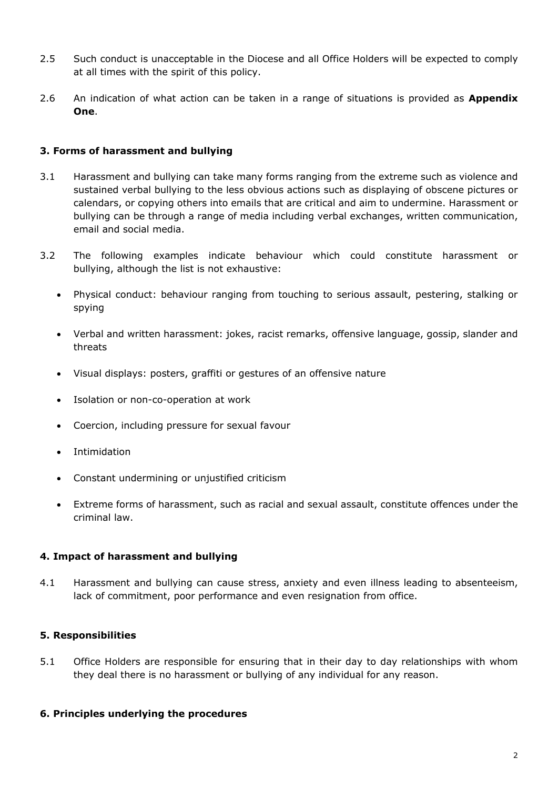- 2.5 Such conduct is unacceptable in the Diocese and all Office Holders will be expected to comply at all times with the spirit of this policy.
- 2.6 An indication of what action can be taken in a range of situations is provided as **Appendix One**.

#### **3. Forms of harassment and bullying**

- 3.1 Harassment and bullying can take many forms ranging from the extreme such as violence and sustained verbal bullying to the less obvious actions such as displaying of obscene pictures or calendars, or copying others into emails that are critical and aim to undermine. Harassment or bullying can be through a range of media including verbal exchanges, written communication, email and social media.
- 3.2 The following examples indicate behaviour which could constitute harassment or bullying, although the list is not exhaustive:
	- Physical conduct: behaviour ranging from touching to serious assault, pestering, stalking or spying
	- Verbal and written harassment: jokes, racist remarks, offensive language, gossip, slander and threats
	- Visual displays: posters, graffiti or gestures of an offensive nature
	- Isolation or non-co-operation at work
	- Coercion, including pressure for sexual favour
	- **Intimidation**
	- Constant undermining or unjustified criticism
	- Extreme forms of harassment, such as racial and sexual assault, constitute offences under the criminal law.

#### **4. Impact of harassment and bullying**

4.1 Harassment and bullying can cause stress, anxiety and even illness leading to absenteeism, lack of commitment, poor performance and even resignation from office.

#### **5. Responsibilities**

5.1 Office Holders are responsible for ensuring that in their day to day relationships with whom they deal there is no harassment or bullying of any individual for any reason.

#### **6. Principles underlying the procedures**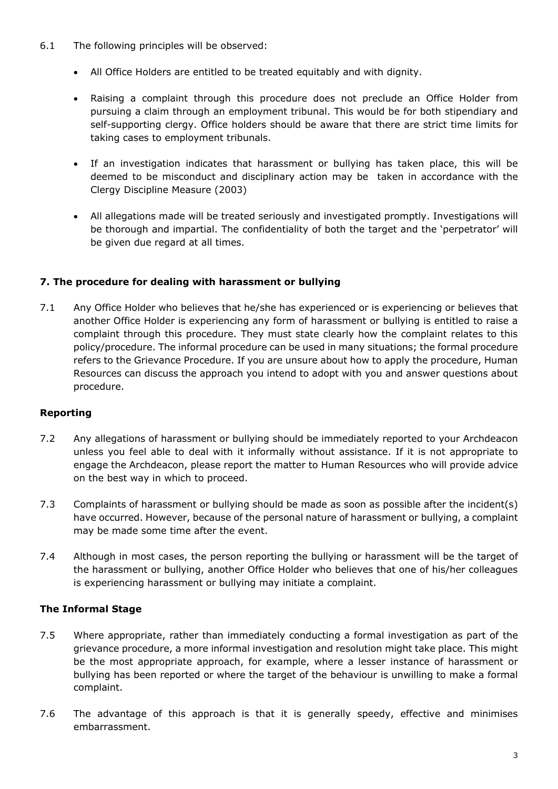- 6.1 The following principles will be observed:
	- All Office Holders are entitled to be treated equitably and with dignity.
	- Raising a complaint through this procedure does not preclude an Office Holder from pursuing a claim through an employment tribunal. This would be for both stipendiary and self-supporting clergy. Office holders should be aware that there are strict time limits for taking cases to employment tribunals.
	- If an investigation indicates that harassment or bullying has taken place, this will be deemed to be misconduct and disciplinary action may be taken in accordance with the Clergy Discipline Measure (2003)
	- All allegations made will be treated seriously and investigated promptly. Investigations will be thorough and impartial. The confidentiality of both the target and the 'perpetrator' will be given due regard at all times.

#### **7. The procedure for dealing with harassment or bullying**

7.1 Any Office Holder who believes that he/she has experienced or is experiencing or believes that another Office Holder is experiencing any form of harassment or bullying is entitled to raise a complaint through this procedure. They must state clearly how the complaint relates to this policy/procedure. The informal procedure can be used in many situations; the formal procedure refers to the Grievance Procedure. If you are unsure about how to apply the procedure, Human Resources can discuss the approach you intend to adopt with you and answer questions about procedure.

#### **Reporting**

- 7.2 Any allegations of harassment or bullying should be immediately reported to your Archdeacon unless you feel able to deal with it informally without assistance. If it is not appropriate to engage the Archdeacon, please report the matter to Human Resources who will provide advice on the best way in which to proceed.
- 7.3 Complaints of harassment or bullying should be made as soon as possible after the incident(s) have occurred. However, because of the personal nature of harassment or bullying, a complaint may be made some time after the event.
- 7.4 Although in most cases, the person reporting the bullying or harassment will be the target of the harassment or bullying, another Office Holder who believes that one of his/her colleagues is experiencing harassment or bullying may initiate a complaint.

#### **The Informal Stage**

- 7.5 Where appropriate, rather than immediately conducting a formal investigation as part of the grievance procedure, a more informal investigation and resolution might take place. This might be the most appropriate approach, for example, where a lesser instance of harassment or bullying has been reported or where the target of the behaviour is unwilling to make a formal complaint.
- 7.6 The advantage of this approach is that it is generally speedy, effective and minimises embarrassment.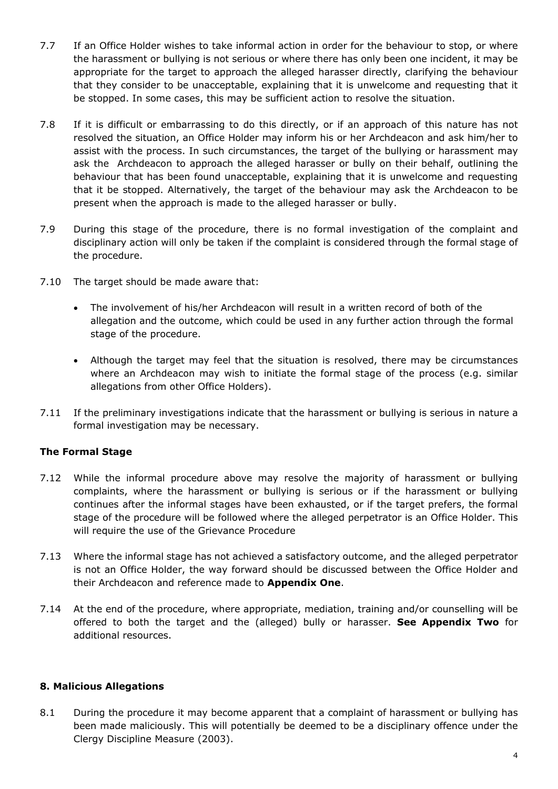- 7.7 If an Office Holder wishes to take informal action in order for the behaviour to stop, or where the harassment or bullying is not serious or where there has only been one incident, it may be appropriate for the target to approach the alleged harasser directly, clarifying the behaviour that they consider to be unacceptable, explaining that it is unwelcome and requesting that it be stopped. In some cases, this may be sufficient action to resolve the situation.
- 7.8 If it is difficult or embarrassing to do this directly, or if an approach of this nature has not resolved the situation, an Office Holder may inform his or her Archdeacon and ask him/her to assist with the process. In such circumstances, the target of the bullying or harassment may ask the Archdeacon to approach the alleged harasser or bully on their behalf, outlining the behaviour that has been found unacceptable, explaining that it is unwelcome and requesting that it be stopped. Alternatively, the target of the behaviour may ask the Archdeacon to be present when the approach is made to the alleged harasser or bully.
- 7.9 During this stage of the procedure, there is no formal investigation of the complaint and disciplinary action will only be taken if the complaint is considered through the formal stage of the procedure.
- 7.10 The target should be made aware that:
	- The involvement of his/her Archdeacon will result in a written record of both of the allegation and the outcome, which could be used in any further action through the formal stage of the procedure.
	- Although the target may feel that the situation is resolved, there may be circumstances where an Archdeacon may wish to initiate the formal stage of the process (e.g. similar allegations from other Office Holders).
- 7.11 If the preliminary investigations indicate that the harassment or bullying is serious in nature a formal investigation may be necessary.

### **The Formal Stage**

- 7.12 While the informal procedure above may resolve the majority of harassment or bullying complaints, where the harassment or bullying is serious or if the harassment or bullying continues after the informal stages have been exhausted, or if the target prefers, the formal stage of the procedure will be followed where the alleged perpetrator is an Office Holder. This will require the use of the Grievance Procedure
- 7.13 Where the informal stage has not achieved a satisfactory outcome, and the alleged perpetrator is not an Office Holder, the way forward should be discussed between the Office Holder and their Archdeacon and reference made to **Appendix One**.
- 7.14 At the end of the procedure, where appropriate, mediation, training and/or counselling will be offered to both the target and the (alleged) bully or harasser. **See Appendix Two** for additional resources.

#### **8. Malicious Allegations**

8.1 During the procedure it may become apparent that a complaint of harassment or bullying has been made maliciously. This will potentially be deemed to be a disciplinary offence under the Clergy Discipline Measure (2003).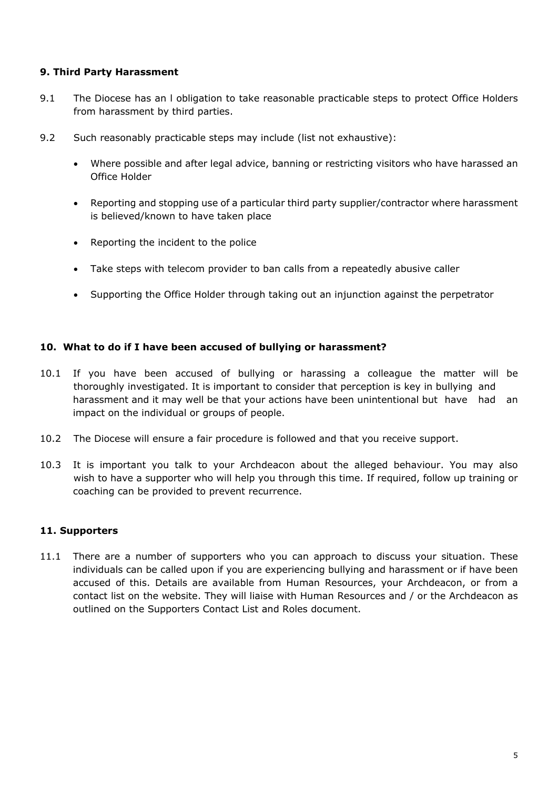#### **9. Third Party Harassment**

- 9.1 The Diocese has an I obligation to take reasonable practicable steps to protect Office Holders from harassment by third parties.
- 9.2 Such reasonably practicable steps may include (list not exhaustive):
	- Where possible and after legal advice, banning or restricting visitors who have harassed an Office Holder
	- Reporting and stopping use of a particular third party supplier/contractor where harassment is believed/known to have taken place
	- Reporting the incident to the police
	- Take steps with telecom provider to ban calls from a repeatedly abusive caller
	- Supporting the Office Holder through taking out an injunction against the perpetrator

#### **10. What to do if I have been accused of bullying or harassment?**

- 10.1 If you have been accused of bullying or harassing a colleague the matter will be thoroughly investigated. It is important to consider that perception is key in bullying and harassment and it may well be that your actions have been unintentional but have had an impact on the individual or groups of people.
- 10.2 The Diocese will ensure a fair procedure is followed and that you receive support.
- 10.3 It is important you talk to your Archdeacon about the alleged behaviour. You may also wish to have a supporter who will help you through this time. If required, follow up training or coaching can be provided to prevent recurrence.

#### **11. Supporters**

11.1 There are a number of supporters who you can approach to discuss your situation. These individuals can be called upon if you are experiencing bullying and harassment or if have been accused of this. Details are available from Human Resources, your Archdeacon, or from a contact list on the website. They will liaise with Human Resources and / or the Archdeacon as outlined on the Supporters Contact List and Roles document.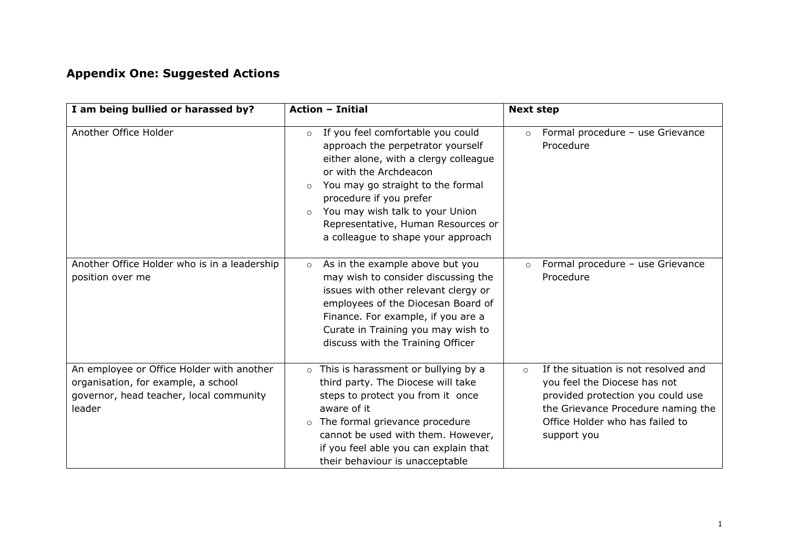# **Appendix One: Suggested Actions**

|                                                                                                                                       | <b>Action - Initial</b>                                                                                                                                                                                                                                                                                                                                   |                                                                                                                                                                                                              |
|---------------------------------------------------------------------------------------------------------------------------------------|-----------------------------------------------------------------------------------------------------------------------------------------------------------------------------------------------------------------------------------------------------------------------------------------------------------------------------------------------------------|--------------------------------------------------------------------------------------------------------------------------------------------------------------------------------------------------------------|
| I am being bullied or harassed by?                                                                                                    |                                                                                                                                                                                                                                                                                                                                                           | <b>Next step</b>                                                                                                                                                                                             |
| Another Office Holder                                                                                                                 | If you feel comfortable you could<br>$\circ$<br>approach the perpetrator yourself<br>either alone, with a clergy colleague<br>or with the Archdeacon<br>You may go straight to the formal<br>$\circ$<br>procedure if you prefer<br>You may wish talk to your Union<br>$\circ$<br>Representative, Human Resources or<br>a colleague to shape your approach | Formal procedure - use Grievance<br>$\circ$<br>Procedure                                                                                                                                                     |
| Another Office Holder who is in a leadership<br>position over me                                                                      | As in the example above but you<br>$\circ$<br>may wish to consider discussing the<br>issues with other relevant clergy or<br>employees of the Diocesan Board of<br>Finance. For example, if you are a<br>Curate in Training you may wish to<br>discuss with the Training Officer                                                                          | Formal procedure - use Grievance<br>$\circ$<br>Procedure                                                                                                                                                     |
| An employee or Office Holder with another<br>organisation, for example, a school<br>governor, head teacher, local community<br>leader | This is harassment or bullying by a<br>$\circ$<br>third party. The Diocese will take<br>steps to protect you from it once<br>aware of it<br>The formal grievance procedure<br>$\circ$<br>cannot be used with them. However,<br>if you feel able you can explain that<br>their behaviour is unacceptable                                                   | If the situation is not resolved and<br>$\circ$<br>you feel the Diocese has not<br>provided protection you could use<br>the Grievance Procedure naming the<br>Office Holder who has failed to<br>support you |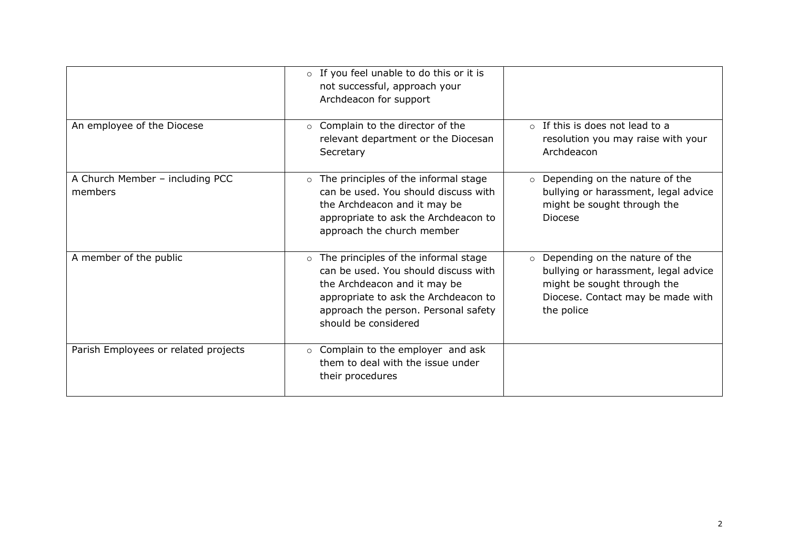|                                            | o If you feel unable to do this or it is<br>not successful, approach your<br>Archdeacon for support                                                                                                                             |                                                                                                                                                                     |
|--------------------------------------------|---------------------------------------------------------------------------------------------------------------------------------------------------------------------------------------------------------------------------------|---------------------------------------------------------------------------------------------------------------------------------------------------------------------|
| An employee of the Diocese                 | ○ Complain to the director of the<br>relevant department or the Diocesan<br>Secretary                                                                                                                                           | $\circ$ If this is does not lead to a<br>resolution you may raise with your<br>Archdeacon                                                                           |
| A Church Member - including PCC<br>members | The principles of the informal stage<br>$\circ$<br>can be used. You should discuss with<br>the Archdeacon and it may be<br>appropriate to ask the Archdeacon to<br>approach the church member                                   | Depending on the nature of the<br>$\circ$<br>bullying or harassment, legal advice<br>might be sought through the<br><b>Diocese</b>                                  |
| A member of the public                     | The principles of the informal stage<br>$\circ$<br>can be used. You should discuss with<br>the Archdeacon and it may be<br>appropriate to ask the Archdeacon to<br>approach the person. Personal safety<br>should be considered | Depending on the nature of the<br>$\circ$<br>bullying or harassment, legal advice<br>might be sought through the<br>Diocese. Contact may be made with<br>the police |
| Parish Employees or related projects       | Complain to the employer and ask<br>$\circ$<br>them to deal with the issue under<br>their procedures                                                                                                                            |                                                                                                                                                                     |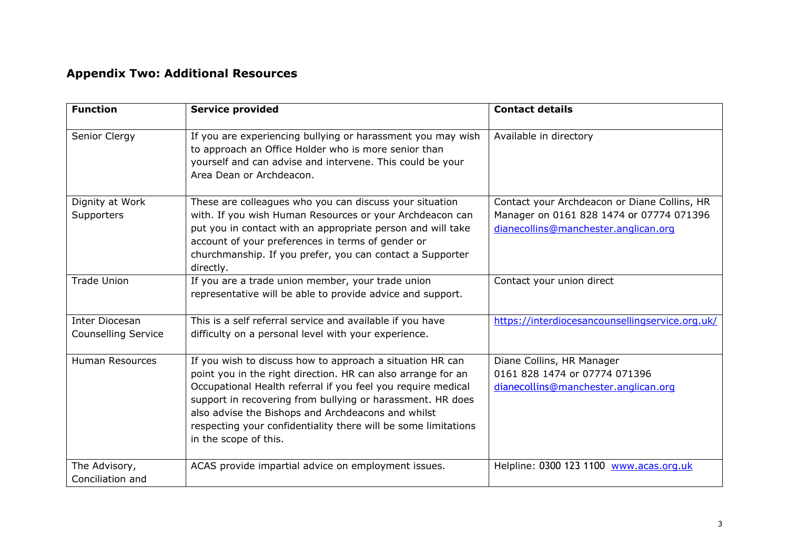## **Appendix Two: Additional Resources**

| <b>Function</b>                                     | <b>Service provided</b>                                                                                                                                                                                                                                                                                                                                                                                  | <b>Contact details</b>                                                                                                           |
|-----------------------------------------------------|----------------------------------------------------------------------------------------------------------------------------------------------------------------------------------------------------------------------------------------------------------------------------------------------------------------------------------------------------------------------------------------------------------|----------------------------------------------------------------------------------------------------------------------------------|
| Senior Clergy                                       | If you are experiencing bullying or harassment you may wish<br>to approach an Office Holder who is more senior than<br>yourself and can advise and intervene. This could be your<br>Area Dean or Archdeacon.                                                                                                                                                                                             | Available in directory                                                                                                           |
| Dignity at Work<br>Supporters                       | These are colleagues who you can discuss your situation<br>with. If you wish Human Resources or your Archdeacon can<br>put you in contact with an appropriate person and will take<br>account of your preferences in terms of gender or<br>churchmanship. If you prefer, you can contact a Supporter<br>directly.                                                                                        | Contact your Archdeacon or Diane Collins, HR<br>Manager on 0161 828 1474 or 07774 071396<br>dianecollins@manchester.anglican.org |
| <b>Trade Union</b>                                  | If you are a trade union member, your trade union<br>representative will be able to provide advice and support.                                                                                                                                                                                                                                                                                          | Contact your union direct                                                                                                        |
| <b>Inter Diocesan</b><br><b>Counselling Service</b> | This is a self referral service and available if you have<br>difficulty on a personal level with your experience.                                                                                                                                                                                                                                                                                        | https://interdiocesancounsellingservice.org.uk/                                                                                  |
| <b>Human Resources</b>                              | If you wish to discuss how to approach a situation HR can<br>point you in the right direction. HR can also arrange for an<br>Occupational Health referral if you feel you require medical<br>support in recovering from bullying or harassment. HR does<br>also advise the Bishops and Archdeacons and whilst<br>respecting your confidentiality there will be some limitations<br>in the scope of this. | Diane Collins, HR Manager<br>0161 828 1474 or 07774 071396<br>dianecollins@manchester.anglican.org                               |
| The Advisory,<br>Conciliation and                   | ACAS provide impartial advice on employment issues.                                                                                                                                                                                                                                                                                                                                                      | Helpline: 0300 123 1100 www.acas.org.uk                                                                                          |